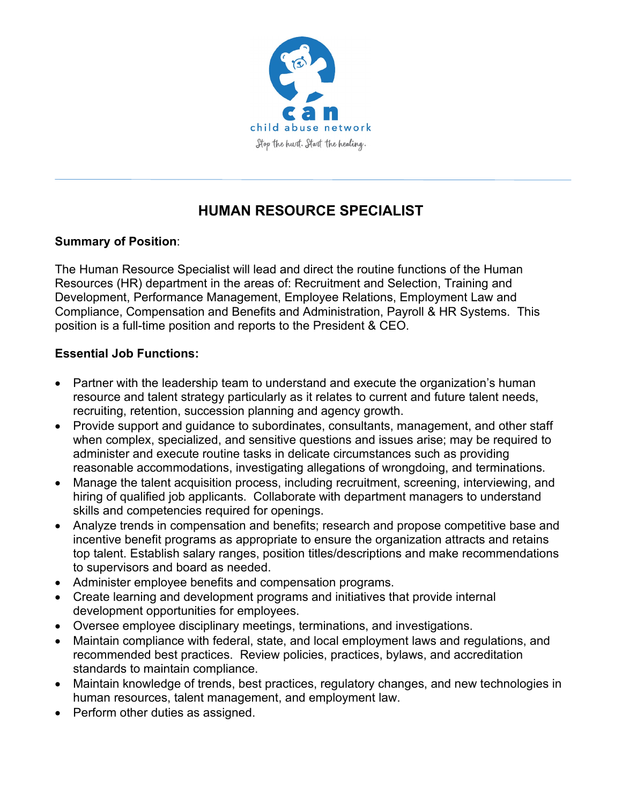

# **HUMAN RESOURCE SPECIALIST**

## **Summary of Position**:

The Human Resource Specialist will lead and direct the routine functions of the Human Resources (HR) department in the areas of: Recruitment and Selection, Training and Development, Performance Management, Employee Relations, Employment Law and Compliance, Compensation and Benefits and Administration, Payroll & HR Systems. This position is a full-time position and reports to the President & CEO.

## **Essential Job Functions:**

- Partner with the leadership team to understand and execute the organization's human resource and talent strategy particularly as it relates to current and future talent needs, recruiting, retention, succession planning and agency growth.
- Provide support and guidance to subordinates, consultants, management, and other staff when complex, specialized, and sensitive questions and issues arise; may be required to administer and execute routine tasks in delicate circumstances such as providing reasonable accommodations, investigating allegations of wrongdoing, and terminations.
- Manage the talent acquisition process, including recruitment, screening, interviewing, and hiring of qualified job applicants. Collaborate with department managers to understand skills and competencies required for openings.
- Analyze trends in compensation and benefits; research and propose competitive base and incentive benefit programs as appropriate to ensure the organization attracts and retains top talent. Establish salary ranges, position titles/descriptions and make recommendations to supervisors and board as needed.
- Administer employee benefits and compensation programs.
- Create learning and development programs and initiatives that provide internal development opportunities for employees.
- Oversee employee disciplinary meetings, terminations, and investigations.
- Maintain compliance with federal, state, and local employment laws and regulations, and recommended best practices. Review policies, practices, bylaws, and accreditation standards to maintain compliance.
- Maintain knowledge of trends, best practices, regulatory changes, and new technologies in human resources, talent management, and employment law.
- Perform other duties as assigned.